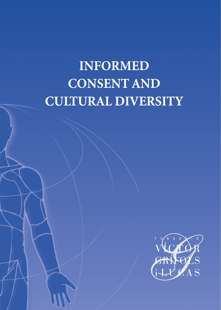# **INFORMED CONSENT AND CULTURAL DIVERSITY**

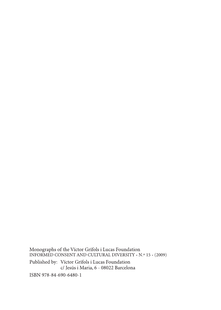Monographs of the Víctor Grífols i Lucas Foundation<br>INFORMED CONSENT AND CULTURAL DIVERSITY - N.º 15 - (2009) Published by: Víctor Grífols i Lucas Foundation c/ Jesús i Maria, 6 - 08022 Barcelona ISBN 978-84-690-6480-1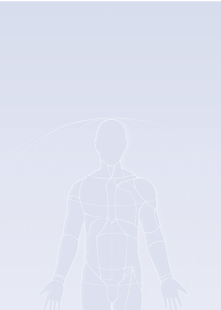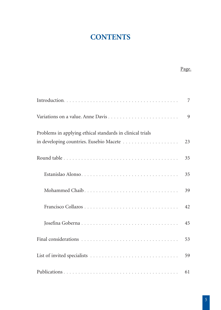## **CONTENTS**

## Page.

|                                                                 | $\overline{7}$ |  |  |  |  |  |  |  |  |  |
|-----------------------------------------------------------------|----------------|--|--|--|--|--|--|--|--|--|
| Problems in applying ethical standards in clinical trials<br>23 |                |  |  |  |  |  |  |  |  |  |
|                                                                 |                |  |  |  |  |  |  |  |  |  |
|                                                                 | 35             |  |  |  |  |  |  |  |  |  |
|                                                                 | 39             |  |  |  |  |  |  |  |  |  |
|                                                                 | 42             |  |  |  |  |  |  |  |  |  |
|                                                                 | 45             |  |  |  |  |  |  |  |  |  |
|                                                                 | 53             |  |  |  |  |  |  |  |  |  |
|                                                                 | 59             |  |  |  |  |  |  |  |  |  |
|                                                                 | 61             |  |  |  |  |  |  |  |  |  |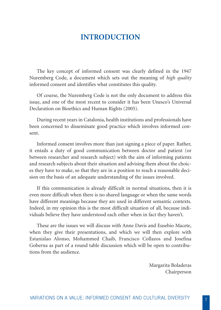## **INTRODUCTION**

The key concept of informed consent was clearly defined in the 1947 Nuremberg Code, a document which sets out the meaning of *high quality* informed consent and identifies what constitutes this quality.

Of course, the Nuremberg Code is not the only document to address this issue, and one of the most recent to consider it has been Unesco's Universal Declaration on Bioethics and Human Rights (2005).

During recent years in Catalonia, health institutions and professionals have been concerned to disseminate good practice which involves informed consent.

Informed consent involves more than just signing a piece of paper. Rather, it entails a duty of good communication between doctor and patient (or between researcher and research subject) with the aim of informing patients and research subjects about their situation and advising them about the choices they have to make, so that they are in a position to reach a reasonable decision on the basis of an adequate understanding of the issues involved.

If this communication is already difficult in normal situations, then it is even more difficult when there is no shared language or when the same words have different meanings because they are used in different semantic contexts. Indeed, in my opinion this is the most difficult situation of all, because individuals believe they have understood each other when in fact they haven't.

These are the issues we will discuss with Anne Davis and Eusebio Macete, when they give their presentations, and which we will then explore with Estanislao Alonso, Mohammed Chaib, Francisco Collazos and Josefina Goberna as part of a round table discussion which will be open to contributions from the audience.

> Margarita Boladeras Chairperson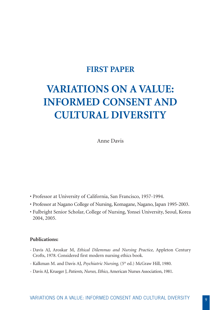## **FIRST PAPER**

## **VARIATIONS ON A VALUE: INFORMED CONSENT AND CULTURAL DIVERSITY**

Anne Davis

- Professor at University of California, San Francisco, 1957-1994.
- Professor at Nagano College of Nursing, Komagane, Nagano, Japan 1995-2003.
- Fulbright Senior Scholar, College of Nursing, Yonsei University, Seoul, Korea 2004, 2005.

#### **Publications:**

- Davis AJ, Aroskar M, *Ethical Dilemmas and Nursing Practice,* Appleton Century Crofts, 1978. Considered first modern nursing ethics book.
- Kalkman M. and Davis AJ, *Psychiatric Nursing*, (5<sup>th</sup> ed.) McGraw Hill, 1980.
- Davis AJ, Krueger J, *Patients, Nurses, Ethics,* American Nurses Association, 1981.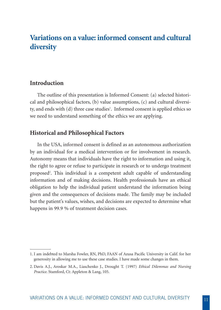## **Variations on a value: informed consent and cultural diversity**

## **Introduction**

The outline of this presentation is Informed Consent: (a) selected historical and philosophical factors, (b) value assumptions, (c) and cultural diversity, and ends with (d) three case studies'. Informed consent is applied ethics so we need to understand something of the ethics we are applying.

## **Historical and Philosophical Factors**

In the USA, informed consent is defined as an autonomous authorization by an individual for a medical intervention or for involvement in research. Autonomy means that individuals have the right to information and using it, the right to agree or refuse to participate in research or to undergo treatment proposed<sup>2</sup>. This individual is a competent adult capable of understanding information and of making decisions. Health professionals have an ethical obligation to help the individual patient understand the information being given and the consequences of decisions made. The family may be included but the patient's values, wishes, and decisions are expected to determine what happens in 99.9 % of treatment decision cases.

<sup>1.</sup> I am indebted to Marsha Fowler, RN, PhD, FAAN of Azusa Pacific University in Calif. for her generosity in allowing me to use these case studies. I have made some changes in them.

<sup>2.</sup> Davis A.J., Aroskar M.A., Liaschenko J., Drought T. (1997) *Ethical Dilemmas and Nursing Practice.* Stamford, Ct: Appleton & Lang, 105.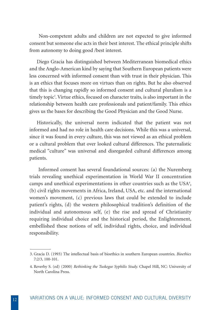Non-competent adults and children are not expected to give informed consent but someone else acts in their best interest. The ethical principle shifts from autonomy to doing good /best interest.

Diego Gracia has distinguished between Mediterranean biomedical ethics and the Anglo-American kind by saying that Southern European patients were less concerned with informed consent than with trust in their physician. This is an ethics that focuses more on virtues than on rights. But he also observed that this is changing rapidly so informed consent and cultural pluralism is a timely topic<sup>3</sup>. Virtue ethics, focused on character traits, is also important in the relationship between health care professionals and patient/family. This ethics gives us the bases for describing the Good Physician and the Good Nurse.

Historically, the universal norm indicated that the patient was not informed and had no role in health care decisions. While this was a universal, since it was found in every culture, this was not viewed as an ethical problem or a cultural problem that over looked cultural differences. The paternalistic medical "culture" was universal and disregarded cultural differences among patients.

Informed consent has several foundational sources: (a) the Nuremberg trials revealing unethical experimentation in World War II concentration camps and unethical experimentations in other countries such as the USA<sup>4</sup>, (b) civil rights movements in Africa, Ireland, USA, etc. and the international women's movement, (c) previous laws that could be extended to include patient's rights, (d) the western philosophical tradition's definition of the individual and autonomous self, (e) the rise and spread of Christianity requiring individual choice and the historical period, the Enlightenment, embellished these notions of self, individual rights, choice, and individual responsibility.

<sup>3.</sup> Gracia D. (1993) The intellectual basis of bioethics in southern European countries. *Bioethics* 7:2/3, 100-101.

<sup>4.</sup> Reverby S. (ed) (2000) *Rethinking the Tuskegee Syphilis Study.* Chapel Hill, NC: University of North Carolina Press.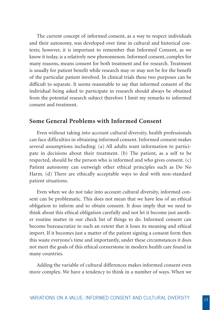The current concept of informed consent, as a way to respect individuals and their autonomy, was developed over time in cultural and historical contexts; however, it is important to remember that Informed Consent, as we know it today, is a relatively new phenomenon. Informed consent, complex for many reasons, means consent for both treatment and for research. Treatment is usually for patient benefit while research may or may not be for the benefit of the particular patient involved. In clinical trials these two purposes can be difficult to separate. It seems reasonable to say that informed consent of the individual being asked to participate in research should always be obtained from the potential research subject therefore I limit my remarks to informed consent and treatment.

## **Some General Problems with Informed Consent**

Even without taking into account cultural diversity, health professionals can face difficulties in obtaining informed consent. Informed consent makes several assumptions including: (a) All adults want information to participate in decisions about their treatment. (b) The patient, as a self to be respected, should be the person who is informed and who gives consent. (c) Patient autonomy can outweigh other ethical principles such as Do No Harm. (d) There are ethically acceptable ways to deal with non-standard patient situations.

Even when we do not take into account cultural diversity, informed consent can be problematic. This does not mean that we have less of an ethical obligation to inform and to obtain consent. It does imply that we need to think about this ethical obligation carefully and not let it become just another routine matter in our check list of things to do. Informed consent can become bureaucratize to such an extent that it loses its meaning and ethical import. If it becomes just a matter of the patient signing a consent form then this waste everyone's time and importantly, under these circumstances it does not meet the goals of this ethical cornerstone in modern health care found in many countries.

Adding the variable of cultural differences makes informed consent even more complex. We have a tendency to think in a number of ways. When we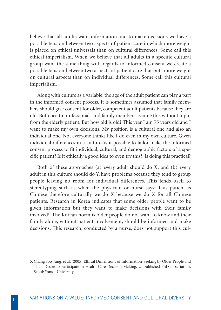believe that all adults want information and to make decisions we have a possible tension between two aspects of patient care in which more weight is placed on ethical universals than on cultural differences. Some call this ethical imperialism. When we believe that all adults in a specific cultural group want the same thing with regards to informed consent we create a possible tension between two aspects of patient care that puts more weight on cultural aspects than on individual differences. Some call this cultural imperialism.

Along with culture as a variable, the age of the adult patient can play a part in the informed consent process. It is sometimes assumed that family members should give consent for older, competent adult patients because they are old. Both health professionals and family members assume this without input from the elderly patient. But how old is old? This year I am 75 years old and I want to make my own decisions. My position is a cultural one and also an individual one. Not everyone thinks like I do even in my own culture. Given individual differences in a culture, is it possible to tailor make the informed consent process to fit individual, cultural, and demographic factors of a specific patient? Is it ethically a good idea to even try this? Is doing this practical?

Both of these approaches (a) every adult should do X, and (b) every adult in this culture should do Y, have problems because they tend to group people leaving no room for individual differences. This lends itself to stereotyping such as when the physician or nurse says: This patient is Chinese therefore culturally we do X because we do X for all Chinese patients. Research in Korea indicates that some older people want to be given information but they want to make decisions with their family involved<sup>5</sup>. The Korean norm is older people do not want to know and their family alone, without patient involvement, should be informed and make decisions. This research, conducted by a nurse, does not support this cul-

<sup>5.</sup> Chang Soo-Jung, et al. (2005) Ethical Dimensions of Information-Seeking by Older People and Their Desire to Participate in Health Care Decision-Making. Unpublished PhD dissertation, Seoul: Yonsei University.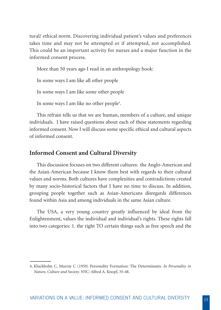tural/ ethical norm. Discovering individual patient's values and preferences takes time and may not be attempted or if attempted, not accomplished. This could be an important activity for nurses and a major function in the informed consent process.

More than 50 years ago I read in an anthropology book: In some ways I am like all other people In some ways I am like some other people

In some ways I am like no other people<sup>6</sup>.

This refrain tells us that we are human, members of a culture, and unique individuals. I have raised questions about each of these statements regarding informed consent. Now I will discuss some specific ethical and cultural aspects of informed consent.

## **Informed Consent and Cultural Diversity**

This discussion focuses on two different cultures: the Anglo-American and the Asian-American because I know them best with regards to their cultural values and norms. Both cultures have complexities and contradictions created by many socio-historical factors that I have no time to discuss. In addition, grouping people together such as Asian-Americans disregards differences found within Asia and among individuals in the same Asian culture.

The USA, a very young country greatly influenced by ideal from the Enlightenment, values the individual and individual's rights. These rights fall into two categories: 1. the right TO certain things such as free speech and the

<sup>6.</sup> Kluckholm C, Murray C (1950) Personality Formation: The Determinants. *In Personality in Nature, Culture and Society*. NYC: Alfred A. Knopf, 35-48.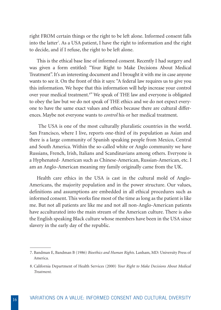right FROM certain things or the right to be left alone. Informed consent falls into the latter7 . As a USA patient, I have the right to information and the right to decide, and if I refuse, the right to be left alone.

This is the ethical base line of informed consent. Recently I had surgery and was given a form entitled: "Your Right to Make Decisions About Medical Treatment". It's an interesting document and I brought it with me in case anyone wants to see it. On the front of this it says: "A federal law requires us to give you this information. We hope that this information will help increase your control over your medical treatment.<sup>83</sup> We speak of THE law and everyone is obligated to obey the law but we do not speak of THE ethics and we do not expect everyone to have the same exact values and ethics because there are cultural differences. Maybe not everyone wants to *control* his or her medical treatment.

The USA is one of the most culturally pluralistic countries in the world. San Francisco, where I live, reports one-third of its population as Asian and there is a large community of Spanish speaking people from Mexico, Central and South America. Within the so-called white or Anglo community we have Russians, French, Irish, Italians and Scandinavians among others. Everyone is a Hyphenated- American such as Chinese-American, Russian-American, etc. I am an Anglo-American meaning my family originally came from the UK.

Health care ethics in the USA is cast in the cultural mold of Anglo-Americans, the majority population and in the power structure. Our values, definitions and assumptions are embedded in all ethical procedures such as informed consent. This works fine most of the time as long as the patient is like me. But not all patients are like me and not all non-Anglo-American patients have acculturated into the main stream of the American culture. There is also the English speaking Black culture whose members have been in the USA since slavery in the early day of the republic.

<sup>7.</sup> Bandman E, Bandman B (1986) *Bioethics and Human Rights*. Lanham, MD: University Press of America.

<sup>8.</sup> California Department of Health Services (2000) *Your Right to Make Decisions About Medical Treatment*.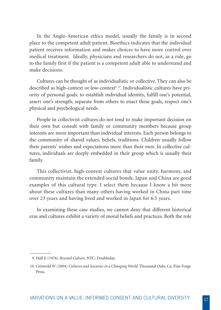In the Anglo-American ethics model, usually the family is in second place to the competent adult patient. Bioethics indicates that the individual patient receives information and makes choices to have more control over medical treatment. Ideally, physicians and researchers do not, as a rule, go to the family first if the patient is a competent adult able to understand and make decisions.

Cultures can be thought of as individualistic or collective. They can also be described as high-context or low-context<sup>9, 10</sup>. Individualistic cultures have priority of personal goals: to establish individual identity, fulfill one's potential, assert one's strength, separate from others to enact these goals, respect one's physical and psychological needs.

People in collectivist cultures do not tend to make important decision on their own but consult with family or community members because group interests are more important than individual interests. Each person belongs to the community of shared values, beliefs, traditions. Children usually follow their parents' wishes and expectations more than their own. In collective cultures, individuals are deeply embedded in their group which is usually their family.

This collectivist, high-context cultures that value unity, harmony, and community maintain the extended social bonds. Japan and China are good examples of this cultural type. I select them because I know a bit more about these cultures than many others having worked in China part time over 23 years and having lived and worked in Japan for 6.5 years.

In examining these case studies, we cannot deny that different historical eras and cultures exhibit a variety of moral beliefs and practices. Both the role

<sup>9.</sup> Hall E (1976) *Beyond Culture*. NYC: Doubleday.

<sup>10.</sup> Griswold W (2004) *Cultures and Societies in a Changing World*. Thousand Oaks, Ca: Pine Forge Press.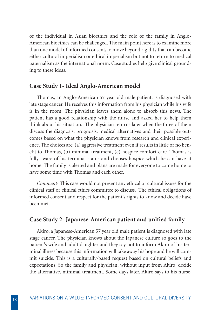of the individual in Asian bioethics and the role of the family in Anglo-American bioethics can be challenged. The main point here is to examine more than one model of informed consent, to move beyond rigidity that can become either cultural imperialism or ethical imperialism but not to return to medical paternalism as the international norm. Case studies help give clinical grounding to these ideas.

## **Case Study 1- Ideal Anglo-American model**

Thomas, an Anglo-American 57 year old male patient, is diagnosed with late stage cancer. He receives this information from his physician while his wife is in the room. The physician leaves them alone to absorb this news. The patient has a good relationship with the nurse and asked her to help them think about his situation. The physician returns later when the three of them discuss the diagnosis, prognosis, medical alternatives and their possible outcomes based on what the physician knows from research and clinical experience. The choices are: (a) aggressive treatment even if results in little or no benefit to Thomas, (b) minimal treatment, (c) hospice comfort care. Thomas is fully aware of his terminal status and chooses hospice which he can have at home. The family is alerted and plans are made for everyone to come home to have some time with Thomas and each other.

*Comment*- This case would not present any ethical or cultural issues for the clinical staff or clinical ethics committee to discuss. The ethical obligations of informed consent and respect for the patient's rights to know and decide have been met.

## **Case Study 2- Japanese-American patient and unified family**

Akiro, a Japanese-American 57 year old male patient is diagnosed with late stage cancer. The physician knows about the Japanese culture so goes to the patient's wife and adult daughter and they say not to inform Akiro of his terminal illness because this information will take away his hope and he will commit suicide. This is a culturally-based request based on cultural beliefs and expectations. So the family and physician, without input from Akiro, decide the alternative, minimal treatment. Some days later, Akiro says to his nurse,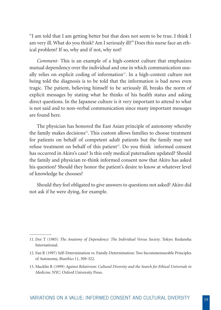"I am told that I am getting better but that does not seem to be true. I think I am very ill. What do you think? Am I seriously ill?" Does this nurse face an ethical problem? If so, why and if not, why not?

*Comment*- This is an example of a high-context culture that emphasizes mutual dependency over the individual and one in which communication usually relies on explicit coding of information<sup>11</sup>. In a high-context culture not being told the diagnosis is to be told that the information is bad news even tragic. The patient, believing himself to be seriously ill, breaks the norm of explicit messages by stating what he thinks of his health status and asking direct questions. In the Japanese culture is it very important to attend to what is not said and to non-verbal communication since many important messages are found here.

The physician has honored the East Asian principle of autonomy whereby the family makes decisions<sup>12</sup>. This custom allows families to choose treatment for patients on behalf of competent adult patients but the family may not refuse treatment on behalf of this patient<sup>13</sup>. Do you think informed consent has occurred in Akiro's case? Is this only medical paternalism updated? Should the family and physician re-think informed consent now that Akiro has asked his question? Should they honor the patient's desire to know at whatever level of knowledge he chooses?

Should they feel obligated to give answers to questions not asked? Akiro did not ask if he were dying, for example.

<sup>11.</sup> Doi T (1985) *The Anatomy of Dependency: The Individual Versus Society*. Tokyo: Kodansha International.

<sup>12.</sup> Fan R (1997) Self-Determination vs. Family-Determination: Two Incommensurable Principles of Autonomy, *Bioethics* 11, 309-322.

<sup>13.</sup> Macklin R (1999) *Against Relativism: Cultural Diversity and the Search for Ethical Universals in Medicine*. NYC: Oxford University Press.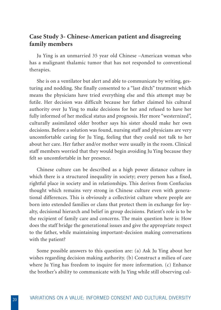## **Case Study 3- Chinese-American patient and disagreeing family members**

Ju Ying is an unmarried 35 year old Chinese –American woman who has a malignant thalamic tumor that has not responded to conventional therapies.

She is on a ventilator but alert and able to communicate by writing, gesturing and nodding. She finally consented to a "last ditch" treatment which means the physicians have tried everything else and this attempt may be futile. Her decision was difficult because her father claimed his cultural authority over Ju Ying to make decisions for her and refused to have her fully informed of her medical status and prognosis. Her more "westernized", culturally assimilated older brother says his sister should make her own decisions. Before a solution was found, nursing staff and physicians are very uncomfortable caring for Ju Ying, feeling that they could not talk to her about her care. Her father and/or mother were usually in the room. Clinical staff members worried that they would begin avoiding Ju Ying because they felt so uncomfortable in her presence.

Chinese culture can be described as a high power distance culture in which there is a structured inequality in society; every person has a fixed, rightful place in society and in relationships. This derives from Confucius thought which remains very strong in Chinese culture even with generational differences. This is obviously a collectivist culture where people are born into extended families or clans that protect them in exchange for loyalty, decisional hierarch and belief in group decisions. Patient's role is to be the recipient of family care and concerns. The main question here is: How does the staff bridge the generational issues and give the appropriate respect to the father, while maintaining important-decision making conversations with the patient?

Some possible answers to this question are: (a) Ask Ju Ying about her wishes regarding decision making authority. (b) Construct a milieu of care where Ju Ying has freedom to inquire for more information. (c) Enhance the brother's ability to communicate with Ju Ying while still observing cul-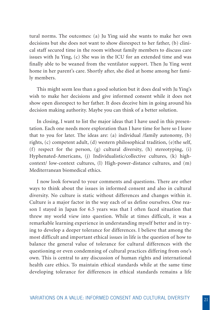tural norms. The outcomes: (a) Ju Ying said she wants to make her own decisions but she does not want to show disrespect to her father, (b) clinical staff secured time in the room without family members to discuss care issues with Ju Ying, (c) She was in the ICU for an extended time and was finally able to be weaned from the ventilator support. Then Ju Ying went home in her parent's care. Shortly after, she died at home among her family members.

This might seem less than a good solution but it does deal with Ju Ying's wish to make her decisions and give informed consent while it does not show open disrespect to her father. It does deceive him in going around his decision making authority. Maybe you can think of a better solution.

In closing, I want to list the major ideas that I have used in this presentation. Each one needs more exploration than I have time for here so I leave that to you for later. The ideas are: (a) individual /family autonomy, (b) rights, (c) competent adult, (d) western philosophical tradition, (e)the self, (f) respect for the person, (g) cultural diversity, (h) stereotyping, (i) Hyphenated-Americans, (j) Individualistic/collective cultures, (k) highcontext/ low-context cultures, (l) High-power-distance cultures, and (m) Mediterranean biomedical ethics.

I now look forward to your comments and questions. There are other ways to think about the issues in informed consent and also in cultural diversity. No culture is static without differences and changes within it. Culture is a major factor in the way each of us define ourselves. One reason I stayed in Japan for 6.5 years was that I often faced situation that threw my world view into question. While at times difficult, it was a remarkable learning experience in understanding myself better and in trying to develop a deeper tolerance for differences. I believe that among the most difficult and important ethical issues in life is the question of how to balance the general value of tolerance for cultural differences with the questioning or even condemning of cultural practices differing from one's own. This is central to any discussion of human rights and international health care ethics. To maintain ethical standards while at the same time developing tolerance for differences in ethical standards remains a life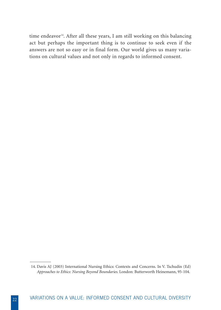time endeavor<sup>14</sup>. After all these years, I am still working on this balancing act but perhaps the important thing is to continue to seek even if the answers are not so easy or in final form. Our world gives us many variations on cultural values and not only in regards to informed consent.

<sup>14.</sup> Davis AJ (2003) International Nursing Ethics: Contexts and Concerns. In V. Tschudin (Ed) *Approaches to Ethics: Nursing Beyond Boundaries*. London: Butterworth Heinemann, 95-104.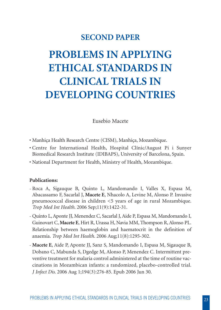## **SECOND PAPER**

## **PROBLEMS IN APPLYING ETHICAL STANDARDS IN CLINICAL TRIALS IN DEVELOPING COUNTRIES**

Eusebio Macete

- Manhiça Health Research Centre (CISM), Manhiça, Mozambique.
- Centre for International Health, Hospital Clínic/August Pi i Sunyer Biomedical Research Institute (IDIBAPS), University of Barcelona, Spain.
- National Department for Health, Ministry of Health, Mozambique.

#### **Publications:**

- Roca A, Sigauque B, Quinto L, Mandomando I, Valles X, Espasa M, Abacassamo F, Sacarlal J, **Macete E**, Nhacolo A, Levine M, Alonso P. Invasive pneumococcal disease in children <5 years of age in rural Mozambique. *Trop Med Int Health*. 2006 Sep;11(9):1422-31.
- Quinto L, Aponte JJ, Menendez C, Sacarlal J, Aide P, Espasa M, Mandomando I, Guinovart C, **Macete E**, Hirt R, Urassa H, Navia MM, Thompson R, Alonso PL. Relationship between haemoglobin and haematocrit in the definition of anaemia. *Trop Med Int Health*. 2006 Aug;11(8):1295-302.
- **Macete E**, Aide P, Aponte JJ, Sanz S, Mandomando I, Espasa M, Sigauque B, Dobano C, Mabunda S, Dgedge M, Alonso P, Menendez C. Intermittent preventive treatment for malaria control administered at the time of routine vaccinations in Mozambican infants: a randomized, placebo-controlled trial. *J Infect Dis*. 2006 Aug 1;194(3):276-85. Epub 2006 Jun 30.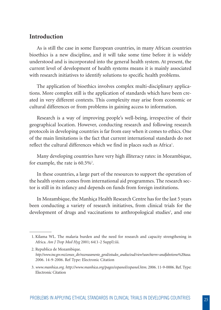## **Introduction**

As is still the case in some European countries, in many African countries bioethics is a new discipline, and it will take some time before it is widely understood and is incorporated into the general health system. At present, the current level of development of health systems means it is mainly associated with research initiatives to identify solutions to specific health problems.

The application of bioethics involves complex multi-disciplinary applications. More complex still is the application of standards which have been created in very different contexts. This complexity may arise from economic or cultural differences or from problems in gaining access to information.

Research is a way of improving people's well-being, irrespective of their geographical location. However, conducting research and following research protocols in developing countries is far from easy when it comes to ethics. One of the main limitations is the fact that current international standards do not reflect the cultural differences which we find in places such as Africa<sup>1</sup>.

Many developing countries have very high illiteracy rates: in Mozambique, for example, the rate is  $60.5\%$ <sup>2</sup>.

In these countries, a large part of the resources to support the operation of the health system comes from international aid programmes. The research sector is still in its infancy and depends on funds from foreign institutions.

In Mozambique, the Manhiça Health Research Centre has for the last 5 years been conducting a variety of research initiatives, from clinical trials for the development of drugs and vaccinations to anthropological studies<sup>3</sup>, and one

<sup>1.</sup> Kilama WL. The malaria burden and the need for research and capacity strengthening in Africa. *Am J Trop Med Hyg* 2001; 64(1-2 Suppl):iii.

<sup>2.</sup> Republica de Mozambique. *http://www.ine.gov.mz/censos\_dir/recenseamento\_geral/estudos\_analise/eud/view?searchterm=analfabetismo%20taxa.* 2006. 14-9-2006. Ref Type: Electronic Citation

<sup>3.</sup> *www.manhica.org. http://www.manhica.org/pages/espanol/espanol.htm.* 2006. 11-9-0006. Ref. Type: Electronic Citation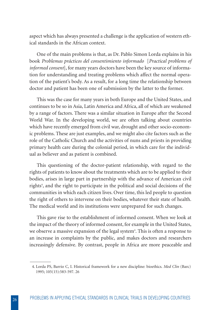aspect which has always presented a challenge is the application of western ethical standards in the African context.

One of the main problems is that, as Dr. Pablo Simon Lorda explains in his book *Problemas prácticos del consentimiento informado* [*Practical problems of informed consent*], for many years doctors have been the key source of information for understanding and treating problems which affect the normal operation of the patient's body. As a result, for a long time the relationship between doctor and patient has been one of submission by the latter to the former.

This was the case for many years in both Europe and the United States, and continues to be so in Asia, Latin America and Africa, all of which are weakened by a range of factors. There was a similar situation in Europe after the Second World War. In the developing world, we are often talking about countries which have recently emerged from civil war, drought and other socio-economic problems. These are just examples, and we might also cite factors such as the role of the Catholic Church and the activities of nuns and priests in providing primary health care during the colonial period, in which care for the individual as believer and as patient is combined.

This questioning of the doctor-patient relationship, with regard to the rights of patients to know about the treatments which are to be applied to their bodies, arises in large part in partnership with the advance of American civil rights<sup>4</sup>, and the right to participate in the political and social decisions of the communities in which each citizen lives. Over time, this led people to question the right of others to intervene on their bodies, whatever their state of health. The medical world and its institutions were unprepared for such changes.

This gave rise to the establishment of informed consent. When we look at the impact of the theory of informed consent, for example in the United States, we observe a massive expansion of the legal system<sup>4</sup>. This is often a response to an increase in complaints by the public, and makes doctors and researchers increasingly defensive. By contrast, people in Africa are more peaceable and

<sup>4.</sup> Lorda PS, Barrio C, I. Historical framework for a new discipline: bioethics. *Med Clin* (Barc) 1995; 105(15):583-597. 26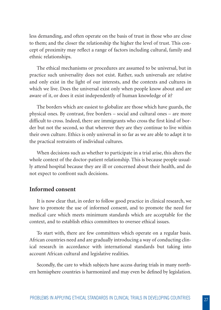less demanding, and often operate on the basis of trust in those who are close to them; and the closer the relationship the higher the level of trust. This concept of proximity may reflect a range of factors including cultural, family and ethnic relationships.

The ethical mechanisms or procedures are assumed to be universal, but in practice such universality does not exist. Rather, such universals are relative and only exist in the light of our interests, and the contexts and cultures in which we live. Does the universal exist only when people know about and are aware of it, or does it exist independently of human knowledge of it?

The borders which are easiest to globalize are those which have guards, the physical ones. By contrast, free borders – social and cultural ones – are more difficult to cross. Indeed, there are immigrants who cross the first kind of border but not the second, so that wherever they are they continue to live within their own culture. Ethics is only universal in so far as we are able to adapt it to the practical restraints of individual cultures.

When decisions such as whether to participate in a trial arise, this alters the whole context of the doctor-patient relationship. This is because people usually attend hospital because they are ill or concerned about their health, and do not expect to confront such decisions.

## **Informed consent**

It is now clear that, in order to follow good practice in clinical research, we have to promote the use of informed consent, and to promote the need for medical care which meets minimum standards which are acceptable for the context, and to establish ethics committees to oversee ethical issues.

To start with, there are few committees which operate on a regular basis. African countries need and are gradually introducing a way of conducting clinical research in accordance with international standards but taking into account African cultural and legislative realities.

Secondly, the care to which subjects have access during trials in many northern hemisphere countries is harmonized and may even be defined by legislation.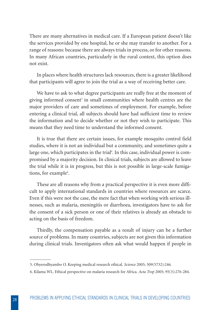There are many alternatives in medical care. If a European patient doesn't like the services provided by one hospital, he or she may transfer to another. For a range of reasons: because there are always trials in process, or for other reasons. In many African countries, particularly in the rural context, this option does not exist.

In places where health structures lack resources, there is a greater likelihood that participants will agree to join the trial as a way of receiving better care.

We have to ask to what degree participants are really free at the moment of giving informed consent<sup>5</sup> in small communities where health centres are the major providers of care and sometimes of employment. For example, before entering a clinical trial, all subjects should have had sufficient time to review the information and to decide whether or not they wish to participate. This means that they need time to understand the informed consent.

It is true that there are certain issues, for example mosquito control field studies, where it is not an individual but a community, and sometimes quite a large one, which participates in the trial'. In this case, individual power is compromised by a majority decision. In clinical trials, subjects are allowed to leave the trial while it is in progress, but this is not possible in large-scale fumigations, for example<sup>6</sup>.

These are all reasons why from a practical perspective it is even more difficult to apply international standards in countries where resources are scarce. Even if this were not the case, the mere fact that when working with serious illnesses, such as malaria, meningitis or diarrhoea, investigators have to ask for the consent of a sick person or one of their relatives is already an obstacle to acting on the basis of freedom.

Thirdly, the compensation payable as a result of injury can be a further source of problems. In many countries, subjects are not given this information during clinical trials. Investigators often ask what would happen if people in

<sup>5.</sup> Obyerodhyambo O. Keeping medical research ethical. *Science* 2005; 309(5732):246.

<sup>6.</sup> Kilama WL. Ethical perspective on malaria research for Africa. *Acta Trop* 2005; 95(3):276-284.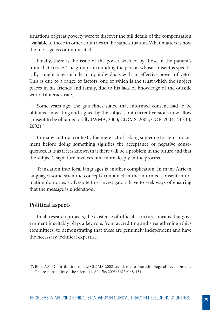situations of great poverty were to discover the full details of the compensation available to those in other countries in the same situation. What matters is how the message is communicated.

Finally, there is the issue of the power wielded by those in the patient's immediate circle. The group surrounding the person whose consent is specifically sought may include many individuals with an effective power of veto<sup>6</sup>. This is due to a range of factors, one of which is the trust which the subject places in his friends and family, due to his lack of knowledge of the outside world (illiteracy rate).

Some years ago, the guidelines stated that informed consent had to be obtained in writing and signed by the subject, but current versions now allow consent to be obtained orally (WMA, 2000; CIOMS, 2002; COE, 2004; NCOB, 2002).7

In many cultural contexts, the mere act of asking someone to sign a document before doing something signifies the acceptance of negative consequences. It is as if it is known that there will be a problem in the future and that the subject's signature involves him more deeply in the process.

Translation into local languages is another complication. In many African languages some scientific concepts contained in the informed consent information do not exist. Despite this, investigators have to seek ways of ensuring that the message is understood.

## **Political aspects**

In all research projects, the existence of official structures means that government inevitably plays a key role, from accrediting and strengthening ethics committees, to demonstrating that these are genuinely independent and have the necessary technical expertise.

<sup>7.</sup> Bota AA. [Contribution of the CIOMS 2002 standards to biotechnological development. The responsibility of the scientist]. *Biol Res* 2003; 36(2):148-154.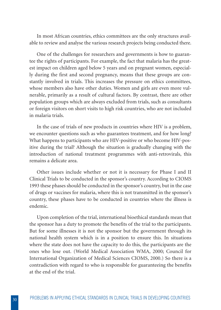In most African countries, ethics committees are the only structures available to review and analyse the various research projects being conducted there.

One of the challenges for researchers and governments is how to guarantee the rights of participants. For example, the fact that malaria has the greatest impact on children aged below 5 years and on pregnant women, especially during the first and second pregnancy, means that these groups are constantly involved in trials. This increases the pressure on ethics committees, whose members also have other duties. Women and girls are even more vulnerable, primarily as a result of cultural factors. By contrast, there are other population groups which are always excluded from trials, such as consultants or foreign visitors on short visits to high risk countries, who are not included in malaria trials.

In the case of trials of new products in countries where HIV is a problem, we encounter questions such as who guarantees treatment, and for how long? What happens to participants who are HIV-positive or who become HIV-positive during the trial? Although the situation is gradually changing with the introduction of national treatment programmes with anti-retrovirals, this remains a delicate area.

Other issues include whether or not it is necessary for Phase I and II Clinical Trials to be conducted in the sponsor's country. According to CIOMS 1993 these phases should be conducted in the sponsor's country, but in the case of drugs or vaccines for malaria, where this is not transmitted in the sponsor's country, these phases have to be conducted in countries where the illness is endemic.

Upon completion of the trial, international bioethical standards mean that the sponsor has a duty to promote the benefits of the trial to the participants. But for some illnesses it is not the sponsor but the government through its national health system which is in a position to ensure this. In situations where the state does not have the capacity to do this, the participants are the ones who lose out. (World Medical Association WMA, 2000; Council for International Organization of Medical Sciences CIOMS, 2000.) So there is a contradiction with regard to who is responsible for guaranteeing the benefits at the end of the trial.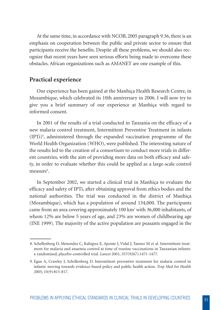At the same time, in accordance with NCOB, 2005 paragraph 9.36, there is an emphasis on cooperation between the public and private sector to ensure that participants receive the benefits. Despite all these problems, we should also recognize that recent years have seen serious efforts being made to overcome these obstacles. African organizations such as AMANET are one example of this.

## **Practical experience**

Our experience has been gained at the Manhiça Health Research Centre, in Mozambique, which celebrated its 10th anniversary in 2006. I will now try to give you a brief summary of our experience at Manhiça with regard to informed consent.

In 2001 of the results of a trial conducted in Tanzania on the efficacy of a new malaria control treatment, Intermittent Preventive Treatment in infants (IPTi)8 , administered through the expanded vaccination programme of the World Health Organization (WHO), were published. The interesting nature of the results led to the creation of a consortium to conduct more trials in different countries, with the aim of providing more data on both efficacy and safety, in order to evaluate whether this could be applied as a large-scale control measure<sup>9</sup>.

In September 2002, we started a clinical trial in Manhiça to evaluate the efficacy and safety of IPTi, after obtaining approval from ethics bodies and the national authorities. The trial was conducted in the district of Manhiça (Mozambique), which has a population of around 134,000. The participants came from an area covering approximately 100 km<sup>2</sup> with 36,000 inhabitants, of whom 12% are below 5 years of age, and 23% are women of childbearing age (INE 1999). The majority of the active population are peasants engaged in the

<sup>8.</sup> Schellenberg D, Menendez C, Kahigwa E, Aponte J, Vidal J, Tanner M et al. Intermittent treatment for malaria and anaemia control at time of routine vaccinations in Tanzanian infants: a randomised, placebo-controlled trial. *Lancet* 2001; 357(9267):1471-1477.

<sup>9.</sup> Egan A, Crawley J, Schellenberg D. Intermittent preventive treatment for malaria control in infants: moving towards evidence-based policy and public health action. *Trop Med Int Health* 2005; 10(9):815-817.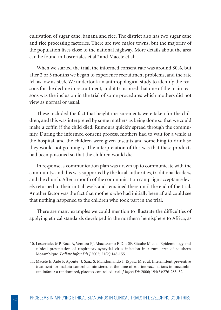cultivation of sugar cane, banana and rice. The district also has two sugar cane and rice processing factories. There are two major towns, but the majority of the population lives close to the national highway. More details about the area can be found in Loscertales et al<sup>10</sup> and Macete et al<sup>11</sup>.

When we started the trial, the informed consent rate was around 80%, but after 2 or 3 months we began to experience recruitment problems, and the rate fell as low as 50%. We undertook an anthropological study to identify the reasons for the decline in recruitment, and it transpired that one of the main reasons was the inclusion in the trial of some procedures which mothers did not view as normal or usual.

These included the fact that height measurements were taken for the children, and this was interpreted by some mothers as being done so that we could make a coffin if the child died. Rumours quickly spread through the community. During the informed consent process, mothers had to wait for a while at the hospital, and the children were given biscuits and something to drink so they would not go hungry. The interpretation of this was that these products had been poisoned so that the children would die.

In response, a communication plan was drawn up to communicate with the community, and this was supported by the local authorities, traditional leaders, and the church. After a month of the communication campaign acceptance levels returned to their initial levels and remained there until the end of the trial. Another factor was the fact that mothers who had initially been afraid could see that nothing happened to the children who took part in the trial.

There are many examples we could mention to illustrate the difficulties of applying ethical standards developed in the northern hemisphere to Africa, as

<sup>10.</sup> Loscertales MP, Roca A, Ventura PJ, Abacassamo F, Dos SF, Sitaube M et al. Epidemiology and clinical presentation of respiratory syncytial virus infection in a rural area of southern Mozambique. *Pediatr Infect Dis J* 2002; 21(2):148-155.

<sup>11.</sup> Macete E, Aide P, Aponte JJ, Sanz S, Mandomando I, Espasa M et al. Intermittent preventive treatment for malaria control administered at the time of routine vaccinations in mozambican infants: a randomized, placebo-controlled trial. *J Infect Dis* 2006; 194(3):276-285. 32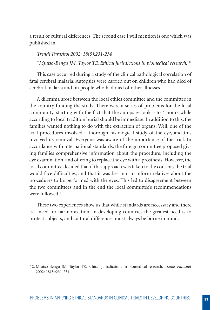a result of cultural differences. The second case I will mention is one which was published in:

#### *Trends Parasitol 2002; 18(5):231-234*

*"Mfutso-Bengu JM, Taylor TE. Ethical jurisdictions in biomedical research."*<sup>12</sup>

This case occurred during a study of the clinical pathological correlation of fatal cerebral malaria. Autopsies were carried out on children who had died of cerebral malaria and on people who had died of other illnesses.

A dilemma arose between the local ethics committee and the committee in the country funding the study. There were a series of problems for the local community, starting with the fact that the autopsies took 3 to 4 hours while according to local tradition burial should be immediate. In addition to this, the families wanted nothing to do with the extraction of organs. Well, one of the trial procedures involved a thorough histological study of the eye, and this involved its removal. Everyone was aware of the importance of the trial. In accordance with international standards, the foreign committee proposed giving families comprehensive information about the procedure, including the eye examination, and offering to replace the eye with a prosthesis. However, the local committee decided that if this approach was taken to the consent, the trial would face difficulties, and that it was best not to inform relatives about the procedures to be performed with the eyes. This led to disagreement between the two committees and in the end the local committee's recommendations were followed<sup>12</sup>.

These two experiences show us that while standards are necessary and there is a need for harmonization, in developing countries the greatest need is to protect subjects, and cultural differences must always be borne in mind.

<sup>12.</sup> Mfutso-Bengu JM, Taylor TE. Ethical jurisdictions in biomedical research. *Trends Parasitol* 2002; 18(5):231-234.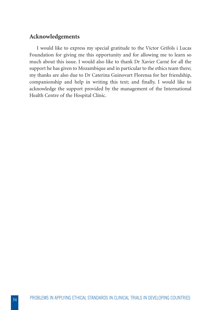## **Acknowledgements**

I would like to express my special gratitude to the Víctor Grífols i Lucas Foundation for giving me this opportunity and for allowing me to learn so much about this issue. I would also like to thank Dr Xavier Carné for all the support he has given to Mozambique and in particular to the ethics team there; my thanks are also due to Dr Caterina Guinovart Florensa for her friendship, companionship and help in writing this text; and finally, I would like to acknowledge the support provided by the management of the International Health Centre of the Hospital Clínic.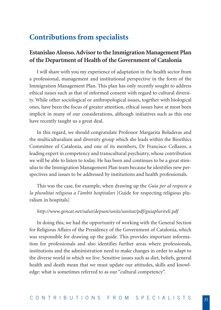## **Contributions from specialists**

## **Estanislao Alonso. Advisor to the Immigration Management Plan of the Department of Health of the Government of Catalonia**

I will share with you my experience of adaptation in the health sector from a professional, management and institutional perspective in the form of the Immigration Management Plan. This plan has only recently sought to address ethical issues such as that of informed consent with regard to cultural diversity. While other sociological or anthropological issues, together with biological ones, have been the focus of greater attention, ethical issues have at most been implicit in many of our considerations, although initiatives such as this one have recently taught us a great deal.

In this regard, we should congratulate Professor Margarita Boladeras and the multiculturalism and diversity group which she leads within the Bioethics Committee of Catalonia, and one of its members, Dr Francisco Collazos, a leading expert in competency and transcultural psychiatry, whose contribution we will be able to listen to today. He has been and continues to be a great stimulus to the Immigration Management Plan team because he identifies new perspectives and issues to be addressed by institutions and health professionals.

This was the case, for example, when drawing up the *Guia per al respecte a la pluralitat religiosa a l'àmbit hospitalari* [Guide for respecting religious pluralism in hospitals]

### *http://www.gencat.net/salut/depsan/units/sanitat/pdf/guiaplurireli.pdf*

In doing this, we had the opportunity of working with the General Section for Religious Affairs of the Presidency of the Government of Catalonia, which was responsible for drawing up the guide. This provides important information for professionals and also identifies further areas where professionals, institutions and the administration need to make changes in order to adapt to the diverse world in which we live. Sensitive issues such as diet, beliefs, general health and death mean that we must update our attitudes, skills and knowledge: what is sometimes referred to as our "cultural competency".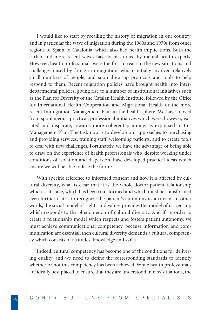I would like to start by recalling the history of migration in our country, and in particular the wave of migration during the 1960s and 1970s from other regions of Spain to Catalonia, which also had health implications. Both the earlier and more recent waves have been studied by mental health experts. However, health professionals were the first to react to the new situations and challenges raised by foreign immigration, which initially involved relatively small numbers of people, and soon drew up protocols and tools to help respond to them. Recent migration policies have brought health into interdepartmental policies, giving rise to a number of institutional initiatives such as the Plan for Diversity of the Catalan Health Institute, followed by the Office for International Health Cooperation and Migrational Health or the more recent Immigration Management Plan in the health sphere. We have moved from spontaneous, practical, professional initiatives which were, however, isolated and disparate, towards more coherent planning, as expressed in this Management Plan. The task now is to develop our approaches to purchasing and providing services, training staff, welcoming patients, and to create tools to deal with new challenges. Fortunately, we have the advantage of being able to draw on the experience of health professionals who, despite working under conditions of isolation and dispersion, have developed practical ideas which ensure we will be able to face the future.

With specific reference to informed consent and how it is affected by cultural diversity, what is clear that it is the whole doctor-patient relationship which is at stake, which has been transformed and which must be transformed even further if it is to recognize the patient's autonomy as a citizen. In other words, the social model of rights and values provides the model of citizenship which responds to the phenomenon of cultural diversity. And if, in order to create a relationship model which respects and fosters patient autonomy, we must achieve communicational competency, because information and communication are essential, then cultural diversity demands a cultural competency which consists of attitudes, knowledge and skills.

Indeed, cultural competency has become one of the conditions for delivering quality, and we need to define the corresponding standards to identify whether or not this competency has been achieved. While health professionals are ideally best placed to ensure that they are understood in new situations, the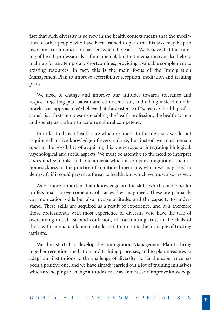fact that such diversity is so new in the health context means that the mediation of other people who have been trained to perform this task may help to overcome communication barriers when these arise. We believe that the training of health professionals is fundamental, but that mediation can also help to make up for any temporary shortcomings, providing a valuable complement to existing resources. In fact, this is the main focus of the Immigration Management Plan to improve accessibility: reception, mediation and training plans.

We need to change and improve our attitudes towards tolerance and respect, rejecting paternalism and ethnocentrism, and taking instead an ethnorelativist approach. We believe that the existence of "sensitive" health professionals is a first step towards enabling the health profession, the health system and society as a whole to acquire cultural competency.

In order to deliver health care which responds to this diversity we do not require exhaustive knowledge of every culture, but instead we must remain open to the possibility of acquiring this knowledge, of integrating biological, psychological and social aspects. We must be attentive to the need to interpret codes and symbols, and phenomena which accompany migrations such as homesickness or the practice of traditional medicine, which we may need to demystify if it could present a threat to health, but which we must also respect.

As or more important than knowledge are the skills which enable health professionals to overcome any obstacles they may meet. These are primarily communication skills but also involve attitudes and the capacity to understand. These skills are acquired as a result of experience, and it is therefore those professionals with most experience of diversity who have the task of overcoming initial fear and confusion, of transmitting trust in the skills of those with an open, tolerant attitude, and to promote the principle of trusting patients.

We thus started to develop the Immigration Management Plan to bring together reception, mediation and training processes, and to plan measures to adapt our institutions to the challenge of diversity. So far the experience has been a positive one, and we have already carried out a lot of training initiatives which are helping to change attitudes, raise awareness, and improve knowledge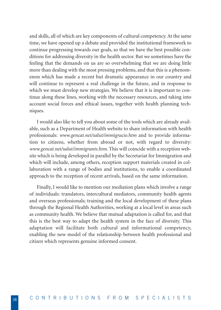and skills, all of which are key components of cultural competency. At the same time, we have opened up a debate and provided the institutional framework to continue progressing towards our goals, so that we have the best possible conditions for addressing diversity in the health sector. But we sometimes have the feeling that the demands on us are so overwhelming that we are doing little more than dealing with the most pressing problems, and that this is a phenomenon which has made a recent but dramatic appearance in our country and will continue to represent a real challenge in the future, and in response to which we must develop new strategies. We believe that it is important to continue along these lines, working with the necessary resources, and taking into account social forces and ethical issues, together with health planning techniques.

I would also like to tell you about some of the tools which are already available, such as a Department of Health website to share information with health professionals: *www.gencat.net/salut/immigracio.htm* and to provide information to citizens, whether from abroad or not, with regard to diversity: *www.gencat.net/salut/immigrants.htm*. This will coincide with a reception website which is being developed in parallel by the Secretariat for Immigration and which will include, among others, reception support materials created in collaboration with a range of bodies and institutions, to enable a coordinated approach to the reception of recent arrivals, based on the same information.

Finally, I would like to mention our mediation plans which involve a range of individuals: translators, intercultural mediators, community health agents and overseas professionals; training and the local development of these plans through the Regional Health Authorities, working at a local level in areas such as community health. We believe that mutual adaptation is called for, and that this is the best way to adapt the health system in the face of diversity. This adaptation will facilitate both cultural and informational competency, enabling the new model of the relationship between health professional and citizen which represents genuine informed consent.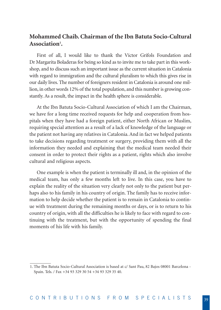## **Mohammed Chaib. Chairman of the Ibn Batuta Socio-Cultural** Association<sup>1</sup>.

First of all, I would like to thank the Víctor Grífols Foundation and Dr Margarita Boladeras for being so kind as to invite me to take part in this workshop, and to discuss such an important issue as the current situation in Catalonia with regard to immigration and the cultural pluralism to which this gives rise in our daily lives. The number of foreigners resident in Catalonia is around one million, in other words 12% of the total population, and this number is growing constantly. As a result, the impact in the health sphere is considerable.

At the Ibn Batuta Socio-Cultural Association of which I am the Chairman, we have for a long time received requests for help and cooperation from hospitals when they have had a foreign patient, either North African or Muslim, requiring special attention as a result of a lack of knowledge of the language or the patient not having any relatives in Catalonia. And in fact we helped patients to take decisions regarding treatment or surgery, providing them with all the information they needed and explaining that the medical team needed their consent in order to protect their rights as a patient, rights which also involve cultural and religious aspects.

One example is when the patient is terminally ill and, in the opinion of the medical team, has only a few months left to live. In this case, you have to explain the reality of the situation very clearly not only to the patient but perhaps also to his family in his country of origin. The family has to receive information to help decide whether the patient is to remain in Catalonia to continue with treatment during the remaining months or days, or is to return to his country of origin, with all the difficulties he is likely to face with regard to continuing with the treatment, but with the opportunity of spending the final moments of his life with his family.

<sup>1.</sup> The Ibn Batuta Socio-Cultural Association is based at c/ Sant Pau, 82 Bajos 08001 Barcelona - Spain. Tels. / Fax +34 93 329 30 54 +34 93 329 35 40.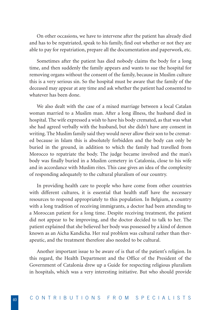On other occasions, we have to intervene after the patient has already died and has to be repatriated, speak to his family, find out whether or not they are able to pay for repatriation, prepare all the documentation and paperwork, etc.

Sometimes after the patient has died nobody claims the body for a long time, and then suddenly the family appears and wants to sue the hospital for removing organs without the consent of the family, because in Muslim culture this is a very serious sin. So the hospital must be aware that the family of the deceased may appear at any time and ask whether the patient had consented to whatever has been done.

We also dealt with the case of a mixed marriage between a local Catalan woman married to a Muslim man. After a long illness, the husband died in hospital. The wife expressed a wish to have his body cremated, as that was what she had agreed verbally with the husband, but she didn't have any consent in writing. The Muslim family said they would never allow their son to be cremated because in Islam this is absolutely forbidden and the body can only be buried in the ground, in addition to which the family had travelled from Morocco to repatriate the body. The judge became involved and the man's body was finally buried in a Muslim cemetery in Catalonia, close to his wife and in accordance with Muslim rites. This case gives an idea of the complexity of responding adequately to the cultural pluralism of our country.

In providing health care to people who have come from other countries with different cultures, it is essential that health staff have the necessary resources to respond appropriately to this population. In Belgium, a country with a long tradition of receiving immigrants, a doctor had been attending to a Moroccan patient for a long time. Despite receiving treatment, the patient did not appear to be improving, and the doctor decided to talk to her. The patient explained that she believed her body was possessed by a kind of demon known as an Aicha Kandicha. Her real problem was cultural rather than therapeutic, and the treatment therefore also needed to be cultural.

Another important issue to be aware of is that of the patient's religion. In this regard, the Health Department and the Office of the President of the Government of Catalonia drew up a Guide for respecting religious pluralism in hospitals, which was a very interesting initiative. But who should provide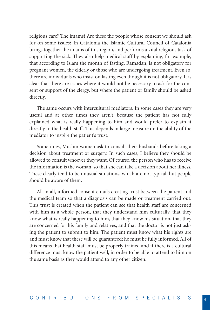religious care? The imams? Are these the people whose consent we should ask for on some issues? In Catalonia the Islamic Cultural Council of Catalonia brings together the imams of this region, and performs a vital religious task of supporting the sick. They also help medical staff by explaining, for example, that according to Islam the month of fasting, Ramadan, is not obligatory for pregnant women, the elderly or those who are undergoing treatment. Even so, there are individuals who insist on fasting even though it is not obligatory. It is clear that there are issues where it would not be necessary to ask for the consent or support of the clergy, but where the patient or family should be asked directly.

The same occurs with intercultural mediators. In some cases they are very useful and at other times they aren't, because the patient has not fully explained what is really happening to him and would prefer to explain it directly to the health staff. This depends in large measure on the ability of the mediator to inspire the patient's trust.

Sometimes, Muslim women ask to consult their husbands before taking a decision about treatment or surgery. In such cases, I believe they should be allowed to consult whoever they want. Of course, the person who has to receive the information is the woman, so that she can take a decision about her illness. These clearly tend to be unusual situations, which are not typical, but people should be aware of them.

All in all, informed consent entails creating trust between the patient and the medical team so that a diagnosis can be made or treatment carried out. This trust is created when the patient can see that health staff are concerned with him as a whole person, that they understand him culturally, that they know what is really happening to him, that they know his situation, that they are concerned for his family and relatives, and that the doctor is not just asking the patient to submit to him. The patient must know what his rights are and must know that these will be guaranteed; he must be fully informed. All of this means that health staff must be properly trained and if there is a cultural difference must know the patient well, in order to be able to attend to him on the same basis as they would attend to any other citizen.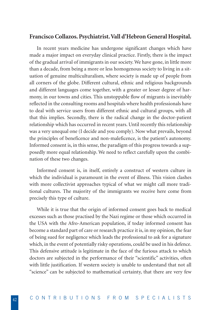## **Francisco Collazos. Psychiatrist. Vall d'Hebron General Hospital.**

In recent years medicine has undergone significant changes which have made a major impact on everyday clinical practice. Firstly, there is the impact of the gradual arrival of immigrants in our society. We have gone, in little more than a decade, from being a more or less homogenous society to living in a situation of genuine multiculturalism, where society is made up of people from all corners of the globe. Different cultural, ethnic and religious backgrounds and different languages come together, with a greater or lesser degree of harmony, in our towns and cities. This unstoppable flow of migrants is inevitably reflected in the consulting rooms and hospitals where health professionals have to deal with service users from different ethnic and cultural groups, with all that this implies. Secondly, there is the radical change in the doctor-patient relationship which has occurred in recent years. Until recently this relationship was a very unequal one (I decide and you comply). Now what prevails, beyond the principles of beneficence and non-maleficence, is the patient's autonomy. Informed consent is, in this sense, the paradigm of this progress towards a supposedly more equal relationship. We need to reflect carefully upon the combination of these two changes.

Informed consent is, in itself, entirely a construct of western culture in which the individual is paramount in the event of illness. This vision clashes with more collectivist approaches typical of what we might call more traditional cultures. The majority of the immigrants we receive here come from precisely this type of culture.

While it is true that the origin of informed consent goes back to medical excesses such as those practised by the Nazi regime or those which occurred in the USA with the Afro-American population, if today informed consent has become a standard part of care or research practice it is, in my opinion, the fear of being sued for negligence which leads the professional to ask for a signature which, in the event of potentially risky operations, could be used in his defence. This defensive attitude is legitimate in the face of the furious attack to which doctors are subjected in the performance of their "scientific" activities, often with little justification. If western society is unable to understand that not all "science" can be subjected to mathematical certainty, that there are very few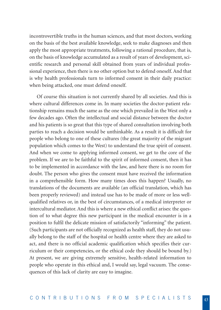incontrovertible truths in the human sciences, and that most doctors, working on the basis of the best available knowledge, seek to make diagnoses and then apply the most appropriate treatments, following a rational procedure, that is, on the basis of knowledge accumulated as a result of years of development, scientific research and personal skill obtained from years of individual professional experience, then there is no other option but to defend oneself. And that is why health professionals turn to informed consent in their daily practice: when being attacked, one must defend oneself.

Of course this situation is not currently shared by all societies. And this is where cultural differences come in. In many societies the doctor-patient relationship remains much the same as the one which prevailed in the West only a few decades ago. Often the intellectual and social distance between the doctor and his patients is so great that this type of shared consultation involving both parties to reach a decision would be unthinkable. As a result it is difficult for people who belong to one of these cultures (the great majority of the migrant population which comes to the West) to understand the true spirit of consent. And when we come to applying informed consent, we get to the core of the problem. If we are to be faithful to the spirit of informed consent, then it has to be implemented in accordance with the law, and here there is no room for doubt. The person who gives the consent must have received the information in a comprehensible form. How many times does this happen? Usually, no translations of the documents are available (an official translation, which has been properly reviewed) and instead use has to be made of more or less wellqualified relatives or, in the best of circumstances, of a medical interpreter or intercultural mediator. And this is where a new ethical conflict arises: the question of to what degree this new participant in the medical encounter is in a position to fulfil the delicate mission of satisfactorily "informing" the patient. (Such participants are not officially recognized as health staff, they do not usually belong to the staff of the hospital or health centre where they are asked to act, and there is no official academic qualification which specifies their curriculum or their competencies, or the ethical code they should be bound by.) At present, we are giving extremely sensitive, health-related information to people who operate in this ethical and, I would say, legal vacuum. The consequences of this lack of clarity are easy to imagine.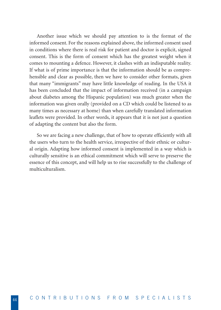Another issue which we should pay attention to is the format of the informed consent. For the reasons explained above, the informed consent used in conditions where there is real risk for patient and doctor is explicit, signed consent. This is the form of consent which has the greatest weight when it comes to mounting a defence. However, it clashes with an indisputable reality. If what is of prime importance is that the information should be as comprehensible and clear as possible, then we have to consider other formats, given that many "immigrants" may have little knowledge of reading. In the USA it has been concluded that the impact of information received (in a campaign about diabetes among the Hispanic population) was much greater when the information was given orally (provided on a CD which could be listened to as many times as necessary at home) than when carefully translated information leaflets were provided. In other words, it appears that it is not just a question of adapting the content but also the form.

So we are facing a new challenge, that of how to operate efficiently with all the users who turn to the health service, irrespective of their ethnic or cultural origin. Adapting how informed consent is implemented in a way which is culturally sensitive is an ethical commitment which will serve to preserve the essence of this concept, and will help us to rise successfully to the challenge of multiculturalism.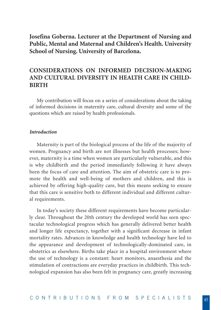## **Josefina Goberna. Lecturer at the Department of Nursing and Public, Mental and Maternal and Children's Health. University School of Nursing. University of Barcelona.**

## **CONSIDERATIONS ON INFORMED DECISION-MAKING AND CULTURAL DIVERSITY IN HEALTH CARE IN CHILD-BIRTH**

My contribution will focus on a series of considerations about the taking of informed decisions in maternity care, cultural diversity and some of the questions which are raised by health professionals.

#### *Introduction*

Maternity is part of the biological process of the life of the majority of women. Pregnancy and birth are not illnesses but health processes; however, maternity is a time when women are particularly vulnerable, and this is why childbirth and the period immediately following it have always been the focus of care and attention. The aim of obstetric care is to promote the health and well-being of mothers and children, and this is achieved by offering high-quality care, but this means seeking to ensure that this care is sensitive both to different individual and different cultural requirements.

In today's society these different requirements have become particularly clear. Throughout the 20th century the developed world has seen spectacular technological progress which has generally delivered better health and longer life expectancy, together with a significant decrease in infant mortality rates. Advances in knowledge and health technology have led to the appearance and development of technologically-dominated care, in obstetrics as elsewhere. Births take place in a hospital environment where the use of technology is a constant: heart monitors, anaesthesia and the stimulation of contractions are everyday practices in childbirth. This technological expansion has also been felt in pregnancy care, greatly increasing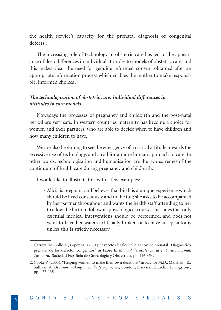the health service's capacity for the prenatal diagnosis of congenital defects<sup>1</sup>.

The increasing role of technology in obstetric care has led to the appearance of deep differences in individual attitudes to models of obstetric care, and this makes clear the need for genuine informed consent obtained after an appropriate information process which enables the mother to make responsible, informed choices<sup>2</sup>.

## *The technologisation of obstetric care: Individual differences in attitudes to care models.*

Nowadays the processes of pregnancy and childbirth and the post-natal period are very safe. In western countries maternity has become a choice for women and their partners, who are able to decide when to have children and how many children to have.

We are also beginning to see the emergency of a critical attitude towards the excessive use of technology, and a call for a more human approach to care. In other words, technologisation and humanisation are the two extremes of the continuum of health care during pregnancy and childbirth.

I would like to illustrate this with a few examples:

• Alicia is pregnant and believes that birth is a unique experience which should be lived consciously and to the full; she asks to be accompanied by her partner throughout and wants the health staff attending to her to allow the birth to follow its physiological course; she states that only essential medical interventions should be performed, and does not want to have her waters artificially broken or to have an episiotomy unless this is strictly necessary.

<sup>1.</sup> Carrera JM, Gallo M, López M. (2001): "Aspectos legales del diagnóstico prenatal. Diagnóstico prenatal de los defectos congénitos" in Fabre E. *Manual de asistencia al embarazo normal;* Zaragoza, Sociedad Española de Ginecología y Obstetricia, pp. 446-454.

<sup>2.</sup> Cooke P. (2005): "Helping women to make their own decisions" in Raynor M.D., Marshall J.E., Sullivan A. *Decision making in midwifery practice*; London, Elsevier, Churchill Livingstone, pp. 127-135.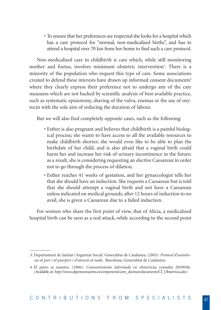• To ensure that her preferences are respected she looks for a hospital which has a care protocol for "normal, non-medicalised births", and has to attend a hospital over 70 km from her home to find such a care protocol.

Non-medicalised care in childbirth is care which, while still monitoring mother and foetus, involves minimum obstetric intervention<sup>3</sup>. There is a minority of the population who request this type of care. Some associations created to defend these interests have drawn up informed consent documents<sup>4</sup> where they clearly express their preference not to undergo any of the care measures which are not backed by scientific analysis of best available practice, such as systematic episiotomy, shaving of the vulva, enemas or the use of oxytocin with the sole aim of reducing the duration of labour.

But we will also find completely opposite cases, such as the following:

- Esther is also pregnant and believes that childbirth is a painful biological process; she wants to have access to all the available resources to make childbirth shorter; she would even like to be able to plan the birthdate of her child, and is also afraid that a vaginal birth could harm her and increase her risk of urinary incontinence in the future; as a result, she is considering requesting an elective Caesarean in order not to go through the process of dilation.
- Esther reaches 41 weeks of gestation, and her gynaecologist tells her that she should have an induction. She requests a Caesarean but is told that she should attempt a vaginal birth and not have a Caesarean unless indicated on medical grounds, after 12 hours of induction to no avail, she is given a Caesarean due to a failed induction.

For women who share the first point of view, that of Alicia, a medicalised hospital birth can be seen as a real attack, while according to the second point

<sup>3.</sup> Departament de Sanitat i Seguretat Social. Generalitat de Catalunya. (2003): *Protocol d'assistència al part i al puerperi i d'atenció al nadó,* Barcelona, Generalitat de Catalunya.

<sup>4.</sup> El parto es nuestro. (2006): *Consentimiento informado en obstetricia*; consulta 20/09/06. (Available at: *http://www.elpartoesnuestro.es/components/com\_docman/documents/CI\_Obstetricia.doc)*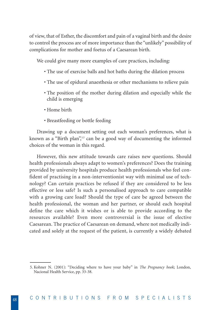of view, that of Esther, the discomfort and pain of a vaginal birth and the desire to control the process are of more importance than the "unlikely" possibility of complications for mother and foetus of a Caesarean birth.

We could give many more examples of care practices, including:

- The use of exercise balls and hot baths during the dilation process
- The use of epidural anaesthesia or other mechanisms to relieve pain
- The position of the mother during dilation and especially while the child is emerging
- Home birth
- Breastfeeding or bottle feeding

Drawing up a document setting out each woman's preferences, what is known as a "Birth plan",<sup>3,5</sup> can be a good way of documenting the informed choices of the woman in this regard.

However, this new attitude towards care raises new questions. Should health professionals always adapt to women's preferences? Does the training provided by university hospitals produce health professionals who feel confident of practising in a non-interventionist way with minimal use of technology? Can certain practices be refused if they are considered to be less effective or less safe? Is such a personalised approach to care compatible with a growing care load? Should the type of care be agreed between the health professional, the woman and her partner, or should each hospital define the care which it wishes or is able to provide according to the resources available? Even more controversial is the issue of elective Caesarean. The practice of Caesarean on demand, where not medically indicated and solely at the request of the patient, is currently a widely debated

<sup>5.</sup> Kohner N. (2001): "Deciding where to have your baby" in *The Pregnancy book*; London, Nacional Health Service, pp. 33-38.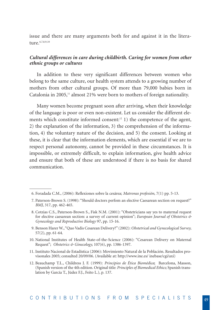issue and there are many arguments both for and against it in the literature. 6,7,8,9,10

### *Cultural differences in care during childbirth. Caring for women from other ethnic groups or cultures*

In addition to these very significant differences between women who belong to the same culture, our health system attends to a growing number of mothers from other cultural groups. Of more than 79,000 babies born in Catalonia in 2005, $\frac{11}{2}$  almost 21% were born to mothers of foreign nationality.

Many women become pregnant soon after arriving, when their knowledge of the language is poor or even non-existent. Let us consider the different elements which constitute informed consent: $^{12}$  1) the competence of the agent, 2) the explanation of the information, 3) the comprehension of the information, 4) the voluntary nature of the decision, and 5) the consent. Looking at these, it is clear that the information elements, which are essential if we are to respect personal autonomy, cannot be provided in these circumstances. It is impossible, or extremely difficult, to explain information, give health advice and ensure that both of these are understood if there is no basis for shared communication.

- 11. Instituto Nacional de Estadística (2006): Movimiento Natural de la Población. Resultados provisonales 2005; consulted 20/09/06. (Available at: http://www.ine.es/ inebase/cgi/axi)
- 12. Beauchamp T.L., Childress J. F. (1999): *Principios de Ética Biomédica*; Barcelona, Masson, (Spanish version of the 4th edition. Original title: *Principles of Biomedical Ethics;* Spanish translation by García T., Júdez F.J., Feito L.), p. 137.

<sup>6.</sup> Foradada C.M., (2006): Reflexiones sobre la cesárea; *Matronas profesión,* 7(1) pp. 5-13.

<sup>7.</sup> Paterson-Brown S. (1998): "Should doctors perfom an elective Caesarean section on request?" *BMJ*, 317, pp. 462-465.

<sup>8.</sup> Cotzias C.S., Paterson-Brown S., Fisk N.M. (2001): "Obstetricians say yes to maternal request for elective caesarean section: a survey of current opinion"; *European Journal of Obstetrics & Gynecology and Reproductive Biology* 97, pp. 15-16.

<sup>9.</sup> Benson Harer W.,"Quo Vadis Cesarean Delivery?" (2002): *Obstetrical and Gynecological Survey,* 57(2), pp. 61-64.

<sup>10.</sup> National Institutes of Health State-of-the-Science (2006): "Cesarean Delivery on Maternal Request"; *Obstetrics & Ginecology,* 107(6), pp. 1386-1397.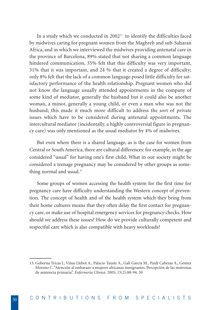In a study which we conducted in 2002<sup>13</sup> to identify the difficulties faced by midwives caring for pregnant women from the Maghreb and sub-Saharan Africa, and in which we interviewed the midwives providing antenatal care in the province of Barcelona, 89% stated that not sharing a common language hindered communication, 35% felt that this difficulty was very important, 31% that it was important, and 24 % that it created a degree of difficulty; only 8% felt that the lack of a common language posed little difficulty for satisfactory performance of the health relationship. Pregnant women who did not know the language usually attended appointments in the company of some kind of mediator, generally the husband but it could also be another woman, a minor, generally a young child, or even a man who was not the husband; this made it much more difficult to address the sort of private issues which have to be considered during antenatal appointments. The intercultural mediator (incidentally, a highly controversial figure in pregnancy care) was only mentioned as the usual mediator by 4% of midwives.

But even where there is a shared language, as is the case for women from Central or South America, there are cultural differences: for example, in the age considered "usual" for having one's first child. What in our society might be considered a teenage pregnancy may be considered by other groups as something normal and usual.<sup>13</sup>

Some groups of women accessing the health system for the first time for pregnancy care have difficulty understanding the Western concept of prevention. The concept of health and of the health system which they bring from their home cultures means that they often delay the first contact for pregnancy care, or make use of hospital emergency services for pregnancy checks. How should we address these issues? How do we provide culturally competent and respectful care which is also compatible with heavy workloads?

<sup>13.</sup> Goberna Tricas J., Viñas Llebot A., Palacio Tauste A., Gali García M., Paulí Cabezas A., Gómez Moreno C. "Atención al embarazo a mujeres africanas inmigrantes. Percepción de las matronas de asistencia primaria". *Enfermería Clínica.* 2005; 15(2):88-94. 50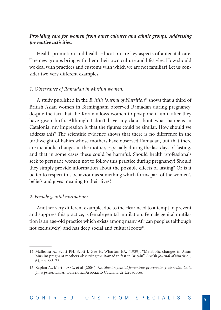### *Providing care for women from other cultures and ethnic groups. Addressing preventive activities.*

Health promotion and health education are key aspects of antenatal care. The new groups bring with them their own culture and lifestyles. How should we deal with practices and customs with which we are not familiar? Let us consider two very different examples.

#### *1. Observance of Ramadan in Muslim women:*

A study published in the *British Journal of Nutrition*<sup>14</sup> shows that a third of British Asian women in Birmingham observed Ramadan during pregnancy, despite the fact that the Koran allows women to postpone it until after they have given birth. Although I don't have any data about what happens in Catalonia, my impression is that the figures could be similar. How should we address this? The scientific evidence shows that there is no difference in the birthweight of babies whose mothers have observed Ramadan, but that there are metabolic changes in the mother, especially during the last days of fasting, and that in some cases these could be harmful. Should health professionals seek to persuade women not to follow this practice during pregnancy? Should they simply provide information about the possible effects of fasting? Or is it better to respect this behaviour as something which forms part of the women's beliefs and gives meaning to their lives?

#### *2. Female genital mutilation:*

Another very different example, due to the clear need to attempt to prevent and suppress this practice, is female genital mutilation. Female genital mutilation is an age-old practice which exists among many African peoples (although not exclusively) and has deep social and cultural roots<sup>15</sup>.

<sup>14.</sup> Malhotra A., Scott PH, Scott J, Gee H, Wharton BA. (1989): "Metabolic changes in Asian Muslim pregnant mothers observing the Ramadan fast in Britain". *British Journal of Nutrition;* 61, pp. 663-72.

<sup>15.</sup> Kaplan A., Martínez C., et al (2004): *Mutilación genital femenina: prevención y atención. Guía para profesionales;* Barcelona, Associació Catalana de Llevadores.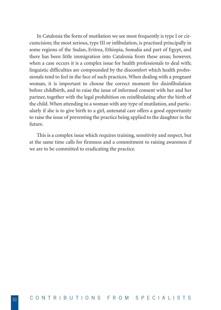In Catalonia the form of mutilation we see most frequently is type I or circumcision; the most serious, type III or infibulation, is practised principally in some regions of the Sudan, Eritrea, Ethiopia, Somalia and part of Egypt, and there has been little immigration into Catalonia from these areas; however, when a case occurs it is a complex issue for health professionals to deal with; linguistic difficulties are compounded by the discomfort which health professionals tend to feel in the face of such practices. When dealing with a pregnant woman, it is important to choose the correct moment for disinfibulation before childbirth, and to raise the issue of informed consent with her and her partner, together with the legal prohibition on reinfibulating after the birth of the child. When attending to a woman with any type of mutilation, and particularly if she is to give birth to a girl, antenatal care offers a good opportunity to raise the issue of preventing the practice being applied to the daughter in the future.

This is a complex issue which requires training, sensitivity and respect, but at the same time calls for firmness and a commitment to raising awareness if we are to be committed to eradicating the practice.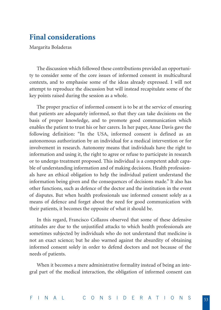## **Final considerations**

Margarita Boladeras

The discussion which followed these contributions provided an opportunity to consider some of the core issues of informed consent in multicultural contexts, and to emphasise some of the ideas already expressed. I will not attempt to reproduce the discussion but will instead recapitulate some of the key points raised during the session as a whole.

The proper practice of informed consent is to be at the service of ensuring that patients are adequately informed, so that they can take decisions on the basis of proper knowledge, and to promote good communication which enables the patient to trust his or her carers. In her paper, Anne Davis gave the following definition: "In the USA, informed consent is defined as an autonomous authorization by an individual for a medical intervention or for involvement in research. Autonomy means that individuals have the right to information and using it, the right to agree or refuse to participate in research or to undergo treatment proposed. This individual is a competent adult capable of understanding information and of making decisions. Health professionals have an ethical obligation to help the individual patient understand the information being given and the consequences of decisions made." It also has other functions, such as defence of the doctor and the institution in the event of disputes. But when health professionals use informed consent solely as a means of defence and forget about the need for good communication with their patients, it becomes the opposite of what it should be.

In this regard, Francisco Collazos observed that some of these defensive attitudes are due to the unjustified attacks to which health professionals are sometimes subjected by individuals who do not understand that medicine is not an exact science; but he also warned against the absurdity of obtaining informed consent solely in order to defend doctors and not because of the needs of patients.

When it becomes a mere administrative formality instead of being an integral part of the medical interaction, the obligation of informed consent can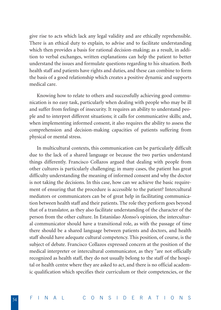give rise to acts which lack any legal validity and are ethically reprehensible. There is an ethical duty to explain, to advise and to facilitate understanding which then provides a basis for rational decision-making; as a result, in addition to verbal exchanges, written explanations can help the patient to better understand the issues and formulate questions regarding to his situation. Both health staff and patients have rights and duties, and these can combine to form the basis of a good relationship which creates a positive dynamic and supports medical care.

Knowing how to relate to others and successfully achieving good communication is no easy task, particularly when dealing with people who may be ill and suffer from feelings of insecurity. It requires an ability to understand people and to interpret different situations; it calls for communicative skills; and, when implementing informed consent, it also requires the ability to assess the comprehension and decision-making capacities of patients suffering from physical or mental stress.

In multicultural contexts, this communication can be particularly difficult due to the lack of a shared language or because the two parties understand things differently. Francisco Collazos argued that dealing with people from other cultures is particularly challenging; in many cases, the patient has great difficulty understanding the meaning of informed consent and why the doctor is not taking the decisions. In this case, how can we achieve the basic requirement of ensuring that the procedure is accessible to the patient? Intercultural mediators or communicators can be of great help in facilitating communication between health staff and their patients. The role they perform goes beyond that of a translator, as they also facilitate understanding of the character of the person from the other culture. In Estanislao Alonso's opinion, the intercultural communicator should have a transitional role, as with the passage of time there should be a shared language between patients and doctors, and health staff should have adequate cultural competency. This position, of course, is the subject of debate. Francisco Collazos expressed concern at the position of the medical interpreter or intercultural communicator, as they "are not officially recognized as health staff, they do not usually belong to the staff of the hospital or health centre where they are asked to act, and there is no official academic qualification which specifies their curriculum or their competencies, or the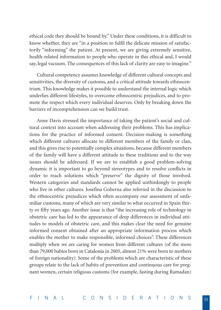ethical code they should be bound by." Under these conditions, it is difficult to know whether, they are "in a position to fulfil the delicate mission of satisfactorily "informing" the patient. At present, we are giving extremely sensitive, health-related information to people who operate in this ethical and, I would say, legal vacuum. The consequences of this lack of clarity are easy to imagine."

Cultural competency assumes knowledge of different cultural concepts and sensitivities, the diversity of customs, and a critical attitude towards ethnocentrism. This knowledge makes it possible to understand the internal logic which underlies different lifestyles, to overcome ethnocentric prejudices, and to promote the respect which every individual deserves. Only by breaking down the barriers of incomprehension can we build trust.

Anne Davis stressed the importance of taking the patient's social and cultural context into account when addressing their problems. This has implications for the practice of informed consent. Decision-making is something which different cultures allocate to different members of the family or clan, and this gives rise to potentially complex situations, because different members of the family will have a different attitude to these traditions and to the way issues should be addressed. If we are to establish a good problem-solving dynamic it is important to go beyond stereotypes and to resolve conflicts in order to reach solutions which "preserve" the dignity of those involved. Western categories and standards cannot be applied unthinkingly to people who live in other cultures. Josefina Goberna also referred in the discussion to the ethnocentric prejudices which often accompany our assessment of unfamiliar customs, many of which are very similar to what occurred in Spain thirty or fifty years ago. Another issue is that "the increasing role of technology in obstetric care has led to the appearance of deep differences in individual attitudes to models of obstetric care, and this makes clear the need for genuine informed consent obtained after an appropriate information process which enables the mother to make responsible, informed choices". These differences multiply when we are caring for women from different cultures (of the more than 79,000 babies born in Catalonia in 2005, almost 21% were born to mothers of foreign nationality). Some of the problems which are characteristic of these groups relate to the lack of habits of prevention and continuous care for pregnant women, certain religious customs (for example, fasting during Ramadan)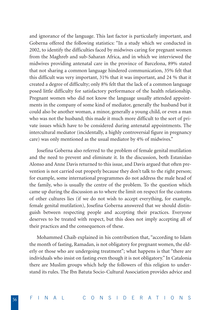and ignorance of the language. This last factor is particularly important, and Goberna offered the following statistics: "In a study which we conducted in 2002, to identify the difficulties faced by midwives caring for pregnant women from the Maghreb and sub-Saharan Africa, and in which we interviewed the midwives providing antenatal care in the province of Barcelona, 89% stated that not sharing a common language hindered communication, 35% felt that this difficult was very important, 31% that it was important, and 24 % that it created a degree of difficulty; only 8% felt that the lack of a common language posed little difficulty for satisfactory performance of the health relationship. Pregnant women who did not know the language usually attended appointments in the company of some kind of mediator, generally the husband but it could also be another woman, a minor, generally a young child, or even a man who was not the husband; this made it much more difficult to the sort of private issues which have to be considered during antenatal appointments. The intercultural mediator (incidentally, a highly controversial figure in pregnancy care) was only mentioned as the usual mediator by 4% of midwives."

Josefina Goberna also referred to the problem of female genital mutilation and the need to prevent and eliminate it. In the discussion, both Estanislao Alonso and Anne Davis returned to this issue, and Davis argued that often prevention is not carried out properly because they don't talk to the right person; for example, some international programmes do not address the male head of the family, who is usually the centre of the problem. To the question which came up during the discussion as to where the limit on respect for the customs of other cultures lies (if we do not wish to accept everything, for example, female genital mutilation), Josefina Goberna answered that we should distinguish between respecting people and accepting their practices. Everyone deserves to be treated with respect, but this does not imply accepting all of their practices and the consequences of these.

Mohammed Chaib explained in his contribution that, "according to Islam the month of fasting, Ramadan, is not obligatory for pregnant women, the elderly or those who are undergoing treatment"; what happens is that "there are individuals who insist on fasting even though it is not obligatory." In Catalonia there are Muslim groups which help the followers of this religion to understand its rules. The Ibn Batuta Socio-Cultural Association provides advice and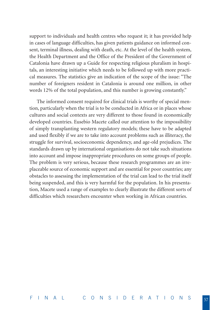support to individuals and health centres who request it; it has provided help in cases of language difficulties, has given patients guidance on informed consent, terminal illness, dealing with death, etc. At the level of the health system, the Health Department and the Office of the President of the Government of Catalonia have drawn up a Guide for respecting religious pluralism in hospitals, an interesting initiative which needs to be followed up with more practical measures. The statistics give an indication of the scope of the issue: "The number of foreigners resident in Catalonia is around one million, in other words 12% of the total population, and this number is growing constantly."

The informed consent required for clinical trials is worthy of special mention, particularly when the trial is to be conducted in Africa or in places whose cultures and social contexts are very different to those found in economically developed countries. Eusebio Macete called our attention to the impossibility of simply transplanting western regulatory models; these have to be adapted and used flexibly if we are to take into account problems such as illiteracy, the struggle for survival, socioeconomic dependency, and age-old prejudices. The standards drawn up by international organisations do not take such situations into account and impose inappropriate procedures on some groups of people. The problem is very serious, because these research programmes are an irreplaceable source of economic support and are essential for poor countries; any obstacles to assessing the implementation of the trial can lead to the trial itself being suspended, and this is very harmful for the population. In his presentation, Macete used a range of examples to clearly illustrate the different sorts of difficulties which researchers encounter when working in African countries.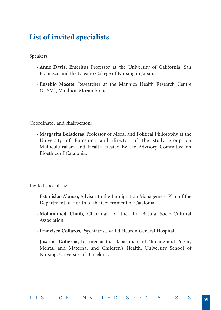## **List of invited specialists**

Speakers:

- **Anne Davis**, Emeritus Professor at the University of California, San Francisco and the Nagano College of Nursing in Japan.
- **Eusebio Macete**, Researcher at the Manhiça Health Research Centre (CISM), Manhiça, Mozambique.

Coordinator and chairperson:

**- Margarita Boladeras,** Professor of Moral and Political Philosophy at the University of Barcelona and director of the study group on Multiculturalism and Health created by the Advisory Committee on Bioethics of Catalonia.

Invited specialists:

- **Estanislao Alonso,** Advisor to the Immigration Management Plan of the Department of Health of the Government of Catalonia
- **Mohammed Chaib,** Chairman of the Ibn Batuta Socio-Cultural Association.
- **Francisco Collazos,** Psychiatrist. Vall d'Hebron General Hospital.
- **Josefina Goberna,** Lecturer at the Department of Nursing and Public, Mental and Maternal and Children's Health. University School of Nursing. University of Barcelona.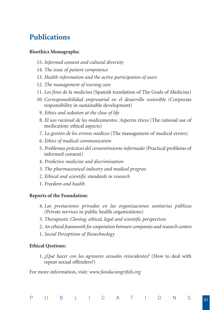## **Publications**

#### **Bioethics Monographs:**

- 15. *Informed consent and cultural diversity*
- 14. *The issue of patient competence*
- 13. *Health information and the active participation of users*
- 12. *The management of nursing care*
- 11. *Los fines de la medicina* (Spanish translation of The Goals of Medicine)
- 10. *Corresponsabilidad empresarial en el desarrollo sostenible* (Corporate responsibility in sustainable development)
- 9. *Ethics and sedation at the close of life*
- 8. *El uso racional de los medicamentos. Aspectos éticos* (The rational use of medication: ethical aspects)
- 7. *La gestión de los errores médicos* (The management of medical errors)
- 6. *Ethics of medical communication*
- 5. *Problemas prácticos del consentimiento informado* (Practical problems of informed consent)
- 4. *Predictive medicine and discrimination*
- 3. *The pharmaceutical industry and medical progress*
- 2. *Ethical and scientific standards in research*
- 1. *Freedom and health*

#### **Reports of the Foundation:**

- 4. *Las prestaciones privadas en las organizaciones sanitarias públicas* (Private services in public health organizations)
- 3. *Therapeutic Cloning: ethical, legal and scientific perspectives*
- 2. *An ethical framework for cooperation between companies and research centers*
- 1. *Social Perceptions of Biotechnology*

#### **Ethical Qestions:**

1. *¿Qué hacer con los agresores sexuales reincidentes?* (How to deal with repeat sexual offenders?)

For more information, visit: *www.fundaciongrifols.org*

|  |  |  |  |  |  |  |  |  |  | PUBLICATIONS <mark>61</mark> |  |  |
|--|--|--|--|--|--|--|--|--|--|------------------------------|--|--|
|--|--|--|--|--|--|--|--|--|--|------------------------------|--|--|